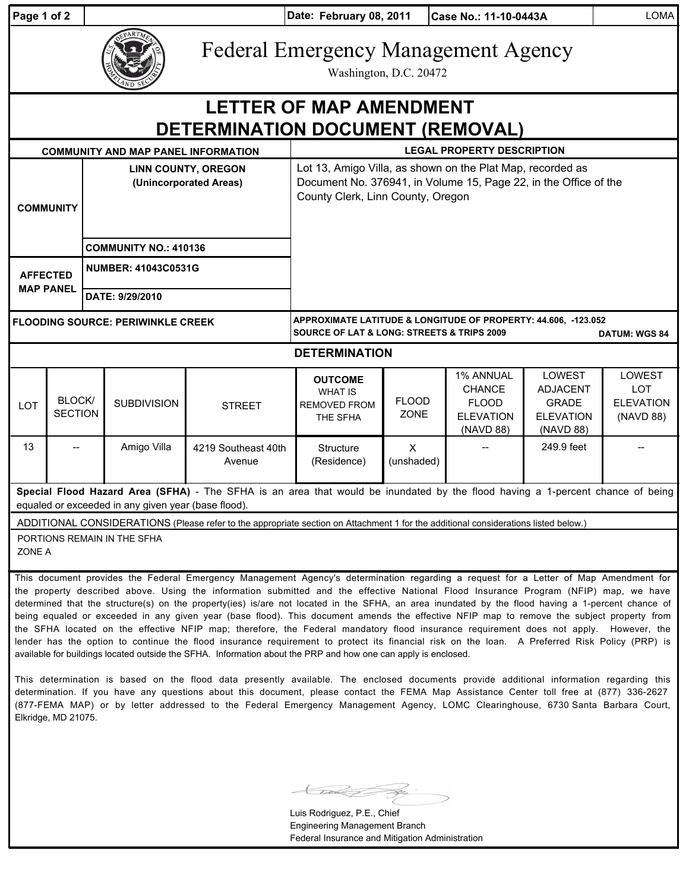| Page 1 of 2                                                                                                                                                                                                                                                                                                                                                                                                                                                                                                                                                                                                                                                                                                             |                          | Date: February 08, 2011<br> Case No.: 11-10-0443A    |                                            |                               |                                                                                                                                                                     |                             |                                                                             |                                                                                   | <b>LOMA</b>                                                  |
|-------------------------------------------------------------------------------------------------------------------------------------------------------------------------------------------------------------------------------------------------------------------------------------------------------------------------------------------------------------------------------------------------------------------------------------------------------------------------------------------------------------------------------------------------------------------------------------------------------------------------------------------------------------------------------------------------------------------------|--------------------------|------------------------------------------------------|--------------------------------------------|-------------------------------|---------------------------------------------------------------------------------------------------------------------------------------------------------------------|-----------------------------|-----------------------------------------------------------------------------|-----------------------------------------------------------------------------------|--------------------------------------------------------------|
|                                                                                                                                                                                                                                                                                                                                                                                                                                                                                                                                                                                                                                                                                                                         |                          |                                                      |                                            |                               | <b>Federal Emergency Management Agency</b><br>Washington, D.C. 20472                                                                                                |                             |                                                                             |                                                                                   |                                                              |
| <b>LETTER OF MAP AMENDMENT</b><br><b>DETERMINATION DOCUMENT (REMOVAL)</b>                                                                                                                                                                                                                                                                                                                                                                                                                                                                                                                                                                                                                                               |                          |                                                      |                                            |                               |                                                                                                                                                                     |                             |                                                                             |                                                                                   |                                                              |
|                                                                                                                                                                                                                                                                                                                                                                                                                                                                                                                                                                                                                                                                                                                         |                          |                                                      | <b>COMMUNITY AND MAP PANEL INFORMATION</b> |                               | <b>LEGAL PROPERTY DESCRIPTION</b>                                                                                                                                   |                             |                                                                             |                                                                                   |                                                              |
| <b>COMMUNITY</b>                                                                                                                                                                                                                                                                                                                                                                                                                                                                                                                                                                                                                                                                                                        |                          | <b>LINN COUNTY, OREGON</b><br>(Unincorporated Areas) |                                            |                               | Lot 13, Amigo Villa, as shown on the Plat Map, recorded as<br>Document No. 376941, in Volume 15, Page 22, in the Office of the<br>County Clerk, Linn County, Oregon |                             |                                                                             |                                                                                   |                                                              |
|                                                                                                                                                                                                                                                                                                                                                                                                                                                                                                                                                                                                                                                                                                                         |                          | <b>COMMUNITY NO.: 410136</b>                         |                                            |                               |                                                                                                                                                                     |                             |                                                                             |                                                                                   |                                                              |
| <b>AFFECTED</b><br><b>MAP PANEL</b>                                                                                                                                                                                                                                                                                                                                                                                                                                                                                                                                                                                                                                                                                     |                          | <b>NUMBER: 41043C0531G</b>                           |                                            |                               |                                                                                                                                                                     |                             |                                                                             |                                                                                   |                                                              |
|                                                                                                                                                                                                                                                                                                                                                                                                                                                                                                                                                                                                                                                                                                                         |                          | DATE: 9/29/2010                                      |                                            |                               |                                                                                                                                                                     |                             |                                                                             |                                                                                   |                                                              |
| <b>FLOODING SOURCE: PERIWINKLE CREEK</b>                                                                                                                                                                                                                                                                                                                                                                                                                                                                                                                                                                                                                                                                                |                          |                                                      |                                            |                               | APPROXIMATE LATITUDE & LONGITUDE OF PROPERTY: 44.606, -123.052<br><b>SOURCE OF LAT &amp; LONG: STREETS &amp; TRIPS 2009</b><br><b>DATUM: WGS 84</b>                 |                             |                                                                             |                                                                                   |                                                              |
| <b>DETERMINATION</b>                                                                                                                                                                                                                                                                                                                                                                                                                                                                                                                                                                                                                                                                                                    |                          |                                                      |                                            |                               |                                                                                                                                                                     |                             |                                                                             |                                                                                   |                                                              |
| LOT                                                                                                                                                                                                                                                                                                                                                                                                                                                                                                                                                                                                                                                                                                                     | BLOCK/<br><b>SECTION</b> |                                                      | <b>SUBDIVISION</b>                         | <b>STREET</b>                 | <b>OUTCOME</b><br><b>WHAT IS</b><br><b>REMOVED FROM</b><br>THE SFHA                                                                                                 | <b>FLOOD</b><br><b>ZONE</b> | 1% ANNUAL<br><b>CHANCE</b><br><b>FLOOD</b><br><b>ELEVATION</b><br>(NAVD 88) | <b>LOWEST</b><br><b>ADJACENT</b><br><b>GRADE</b><br><b>ELEVATION</b><br>(NAVD 88) | <b>LOWEST</b><br><b>LOT</b><br><b>ELEVATION</b><br>(NAVD 88) |
| 13                                                                                                                                                                                                                                                                                                                                                                                                                                                                                                                                                                                                                                                                                                                      |                          |                                                      | Amigo Villa                                | 4219 Southeast 40th<br>Avenue | Structure<br>(Residence)                                                                                                                                            | $\mathsf{X}$<br>(unshaded)  |                                                                             | 249.9 feet                                                                        |                                                              |
| Special Flood Hazard Area (SFHA) - The SFHA is an area that would be inundated by the flood having a 1-percent chance of being<br>equaled or exceeded in any given year (base flood).                                                                                                                                                                                                                                                                                                                                                                                                                                                                                                                                   |                          |                                                      |                                            |                               |                                                                                                                                                                     |                             |                                                                             |                                                                                   |                                                              |
| ADDITIONAL CONSIDERATIONS (Please refer to the appropriate section on Attachment 1 for the additional considerations listed below.)                                                                                                                                                                                                                                                                                                                                                                                                                                                                                                                                                                                     |                          |                                                      |                                            |                               |                                                                                                                                                                     |                             |                                                                             |                                                                                   |                                                              |
| PORTIONS REMAIN IN THE SFHA<br>ZONE A                                                                                                                                                                                                                                                                                                                                                                                                                                                                                                                                                                                                                                                                                   |                          |                                                      |                                            |                               |                                                                                                                                                                     |                             |                                                                             |                                                                                   |                                                              |
| This document provides the Federal Emergency Management Agency's determination regarding a request for a Letter of Map Amendment for<br>the property described above. Using the information submitted and the effective National Flood Insurance Program (NFIP) map, we have<br>determined that the structure(s) on the property(ies) is/are not located in the SFHA, an area inundated by the flood having a 1-percent chance of<br>being equaled or exceeded in any given year (base flood). This document amends the effective NFIP map to remove the subject property from<br>the SFHA located on the effective NFIP map; therefore, the Federal mandatory flood insurance requirement does not apply. However, the |                          |                                                      |                                            |                               |                                                                                                                                                                     |                             |                                                                             |                                                                                   |                                                              |

lender has the option to continue the flood insurance requirement to protect its financial risk on the loan. A Preferred Risk Policy (PRP) is available for buildings located outside the SFHA. Information about the PRP and how one can apply is enclosed. This determination is based on the flood data presently available. The enclosed documents provide additional information regarding this

determination. If you have any questions about this document, please contact the FEMA Map Assistance Center toll free at (877) 336-2627 (877-FEMA MAP) or by letter addressed to the Federal Emergency Management Agency, LOMC Clearinghouse, 6730 Santa Barbara Court, Elkridge, MD 21075.

Luis Rodriguez, P.E., Chief Engineering Management Branch Federal Insurance and Mitigation Administration